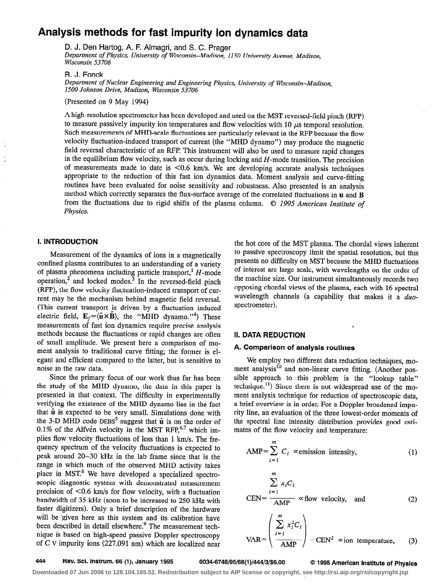# Analysis methods for fast impurity ion dynamics data

D. J. Den Hartog, A. F. Almagri, and S. C. Prager

Department of Physics, University of Wisconsin-Madison, 1150 University Avenue, Madison, Wisconsin 53706

R. J. Fonck

Department of Nuclear Engineering and Engineering Physics, University of Wisconsin-Madison, 1500 Johnson Drive, Madison, Wisconsin 53706

(Presented on 9 May 1994)

A high-resolution spectrometer has been developed and used on the MST reversed-field pinch (RFP) to measure passively impurity ion temperatures and flow velocities with  $10 \mu s$  temporal resolution. Such measurements of MHD-scale fluctuations are particularly relevant in the RFP because the flow velocity fluctuation-induced transport of current (the "MHD dynamo") may produce the magnetic field reversal characteristic of an RFP. This instrument will also be used to measure rapid changes in the equilibrium flow velocity, such as occur during locking and  $H$ -mode transition. The precision of measurements made to date is  $< 0.6$  km/s. We are developing accurate analysis techniques appropriate to the reduction of this fast ion dynamics data. Moment analysis and curve-fitting routines have been evaluated for noise sensitivity and robustness. Also presented is an analysis method which correctly separates the flux-surface average of the correlated fluctuations in u and B from the fluctuations due to rigid shifts of the plasma column. © 1995 American Institute of Physics.

## I. INTRODUCTION

Measurement of the dynamics of ions in a magnetically confined plasma contributes to an understanding of a variety of plasma phenomena including particle transport,<sup>1</sup>  $H$ -mode operation,<sup>2</sup> and locked modes.<sup>3</sup> In the reversed-field pinch (RFP), the flow velocity fluctuation-induced transport of current may be the mechanism behind magnetic field reversal. [This current transport is driven by a fluctuation induced electric field,  $E_f = \langle \tilde{u} \times \tilde{B} \rangle$ , the "MHD dynamo."<sup>4</sup>) These measurements of fast ion dynamics require precise analysis methods because the fluctuations or rapid changes are often of small amplitude. We present here a comparison of moment analysis to traditional curve fitting; the former is elegant and efficient compared to the latter, but is sensitive to noise in the raw data.

Since the primary focus of our work thus far has been the study of the MHD dynamo, the data in this paper is presented in that context. The difficulty in experimentally verifying the existence of the MHD dynamo lies in the fact that  $\tilde{u}$  is expected to be very small. Simulations done with the 3-D MHD code DEBS<sup>5</sup> suggest that  $\tilde{u}$  is on the order of 0.1% of the Alfvén velocity in the MST RFP. $6,7$  which implies flow velocity fluctuations of less than 1 km/s. The frequency spectrum of the velocity fluctuations is expected to peak around 20-30 kHz in the lab frame since that is the range in which much of the observed MHD activity takes place in MST.<sup>8</sup> We have developed a specialized spectroscopic diagnostic system with demonstrated measurement precision of  $<$ 0.6 km/s for flow velocity, with a fluctuation bandwidth of 35 kHz (soon to be increased to 250 kHz with faster digitizers). Only a brief description of the hardware will be 'given here as this system and its calibration have been described in detail elsewhere.<sup>9</sup> The measurement technique is based on high-speed passive Doppler spectroscopy of C v impurity ions (227.091 nm) which are localized near

the hot core of the MST plasma. The chordal views inherent to passive spectroscopy limit the spatial resolution, but this presents no difficulty on MST because the MHD fluctuations of interest are large scale, with wavelengths on the order of the machine size. Our instrument simultaneously records two opposing chordal views of the plasma, each with 16 spectral wavelength channels (a capability that makes it a  $duo$ spectrometer).

## II. DATA REDUCTION

## A. Comparison of analysis routines

We employ two different data reduction techniques, moment analysis<sup>10</sup> and non-linear curve fitting. (Another possible approach to this problem is the "lookup table"  $technique.<sup>11</sup>$ ) Since there is not widespread use of the moment analysis technique for reduction of spectroscopic data, a brief overview is in order. For a Doppler broadened impurity line, an evaluation of the three lowest-order moments of the spectral line intensity distribution provides good estimates of the flow velocity and temperature:

$$
AMP = \sum_{i=1}^{m} C_i \propto \text{emission intensity}, \tag{1}
$$
\n
$$
\sum_{i=1}^{m} x_i C_i
$$
\n
$$
CEN = \frac{\sum_{i=1}^{m} x_i C_i}{AMP} \propto \text{flow velocity, and} \tag{2}
$$

$$
VAR = \left( \frac{\sum_{i=1}^{m} x_i^2 C_i}{AMP} \right) - CEN^2 \propto \text{ion temperature,}
$$
 (3)

## 444 Rev. Sci. Instrum. 66 (1), January 1995 0034-6748/95/66(1)/444/3/\$6.00 0 1995 American Institute of Physics

**Downloaded 07 Jun 2006 to 128.104.165.52. Redistribution subject to AIP license or copyright, see http://rsi.aip.org/rsi/copyright.jsp**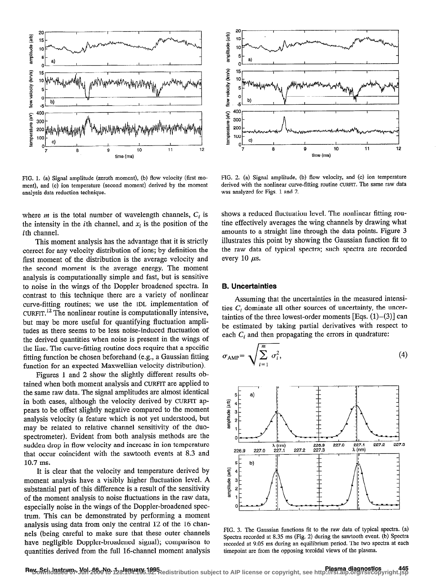

ment), and (c) ion temperature (second moment) derived by the moment derived with the nonlinear curve-<br>analysis data reduction technique. analysis data reduction technique.

where  $m$  is the total number of wavelength channels,  $C_i$  is the intensity in the *i*th channel, and  $x_i$  is the position of the ith channel.

This moment analysis has the advantage that it is strictly correct for any velocity distribution of ions; by definition the first moment of the distribution is the average velocity and the second moment is the average energy. The moment analysis is computationally simple and fast, but is sensitive to noise in the wings of the Doppler broadened spectra. In contrast to this technique there are a variety of nonlinear curve-fitting routines; we use the IDL implementation of  $C \text{URT}$ <sup>12</sup> The nonlinear routine is computationally intensive, but may be more useful for quantifying fluctuation amplitudes as there seems to be less noise-induced fluctuation of the derived quantities when noise is present in the wings of the line. The curve-fitting routine does require that a specific fitting function be chosen beforehand (e.g., a Gaussian fitting function for an expected Maxwellian velocity distribution).

Figures 1 and 2 show the slightly different results obtained when both moment analysis and CURFIT are applied to the same raw data. The signal amplitudes are almost identical in both cases, although the velocity derived by CURFIT appears to be offset slightly negative compared to the moment analysis velocity (a feature which is not yet understood, but may be related to relative channel sensitivity of the duospectrometer). Evident from both analysis methods are the sudden drop in flow velocity and increase in ion temperature that occur coincident with the sawtooth events at 8.3 and 10.7 ms.

It is clear that the velocity and temperature derived by moment analysis have a visibly higher fluctuation level. A substantial part of this difference is a result of the sensitivity of the moment analysis to noise lluctuations in the raw data, especially noise in the wings of the Doppler-broadened spectrum. This can be demonstrated by performing a moment analysis using data from only the central 12 of the 16 channels (being careful to make sure that these outer channels have negligible Doppler-broadened signal); comparison to quantities derived from the full 16-channel moment analysis



FIG. 1. (a) Signal amplitude (zeroth moment), (b) flow velocity (first mo-<br>ment), and (c) ion temperature (second moment) derived by the moment derived with the nonlinear curve-fitting routine CURFIT. The same raw data

shows a reduced fluctuation level. The nonlinear fitting routine effectively averages the wing channels by drawing what amounts to a straight line through the data points. Figure 3 illustrates this point by showing the Gaussian function fit to the raw data of typical spectra; such spectra are recorded every 10  $\mu$ s.

## B. Uncertainties

Assuming that the uncertainties in the measured intensities  $C_i$  dominate all other sources of uncertainty, the uncertainties of the three lowest-order moments [Eqs.  $(1)$ – $(3)$ ] can be estimated by taking partial derivatives with respect to each  $C_i$  and then propagating the errors in quadrature:

$$
\sigma_{\text{AMP}} = \sqrt{\sum_{i=1}^{m} \sigma_i^2},\tag{4}
$$



FIG. 3. The Gaussian functions fit to the raw data of typical spectra. (a) Spectra recorded at 8.35 ms (Fig. 2) during the sawtooth event. (b) Spectra recorded at 9.05 ms during an equilibrium period. The two spectra at each timepoint are from the opposing toroidal views of the plasma.